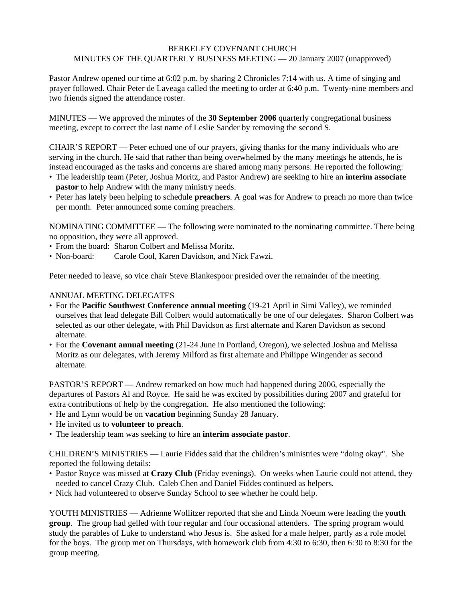## BERKELEY COVENANT CHURCH MINUTES OF THE QUARTERLY BUSINESS MEETING — 20 January 2007 (unapproved)

Pastor Andrew opened our time at 6:02 p.m. by sharing 2 Chronicles 7:14 with us. A time of singing and prayer followed. Chair Peter de Laveaga called the meeting to order at 6:40 p.m. Twenty-nine members and two friends signed the attendance roster.

MINUTES — We approved the minutes of the **30 September 2006** quarterly congregational business meeting, except to correct the last name of Leslie Sander by removing the second S.

CHAIR'S REPORT — Peter echoed one of our prayers, giving thanks for the many individuals who are serving in the church. He said that rather than being overwhelmed by the many meetings he attends, he is instead encouraged as the tasks and concerns are shared among many persons. He reported the following:

- The leadership team (Peter, Joshua Moritz, and Pastor Andrew) are seeking to hire an **interim associate pastor** to help Andrew with the many ministry needs.
- Peter has lately been helping to schedule **preachers**. A goal was for Andrew to preach no more than twice per month. Peter announced some coming preachers.

NOMINATING COMMITTEE — The following were nominated to the nominating committee. There being no opposition, they were all approved.

- From the board: Sharon Colbert and Melissa Moritz.
- Non-board: Carole Cool, Karen Davidson, and Nick Fawzi.

Peter needed to leave, so vice chair Steve Blankespoor presided over the remainder of the meeting.

## ANNUAL MEETING DELEGATES

- For the **Pacific Southwest Conference annual meeting** (19-21 April in Simi Valley), we reminded ourselves that lead delegate Bill Colbert would automatically be one of our delegates. Sharon Colbert was selected as our other delegate, with Phil Davidson as first alternate and Karen Davidson as second alternate.
- For the **Covenant annual meeting** (21-24 June in Portland, Oregon), we selected Joshua and Melissa Moritz as our delegates, with Jeremy Milford as first alternate and Philippe Wingender as second alternate.

PASTOR'S REPORT — Andrew remarked on how much had happened during 2006, especially the departures of Pastors Al and Royce. He said he was excited by possibilities during 2007 and grateful for extra contributions of help by the congregation. He also mentioned the following:

- He and Lynn would be on **vacation** beginning Sunday 28 January.
- He invited us to **volunteer to preach**.
- The leadership team was seeking to hire an **interim associate pastor**.

CHILDREN'S MINISTRIES — Laurie Fiddes said that the children's ministries were "doing okay". She reported the following details:

- Pastor Royce was missed at **Crazy Club** (Friday evenings). On weeks when Laurie could not attend, they needed to cancel Crazy Club. Caleb Chen and Daniel Fiddes continued as helpers.
- Nick had volunteered to observe Sunday School to see whether he could help.

YOUTH MINISTRIES — Adrienne Wollitzer reported that she and Linda Noeum were leading the **youth group**. The group had gelled with four regular and four occasional attenders. The spring program would study the parables of Luke to understand who Jesus is. She asked for a male helper, partly as a role model for the boys. The group met on Thursdays, with homework club from 4:30 to 6:30, then 6:30 to 8:30 for the group meeting.